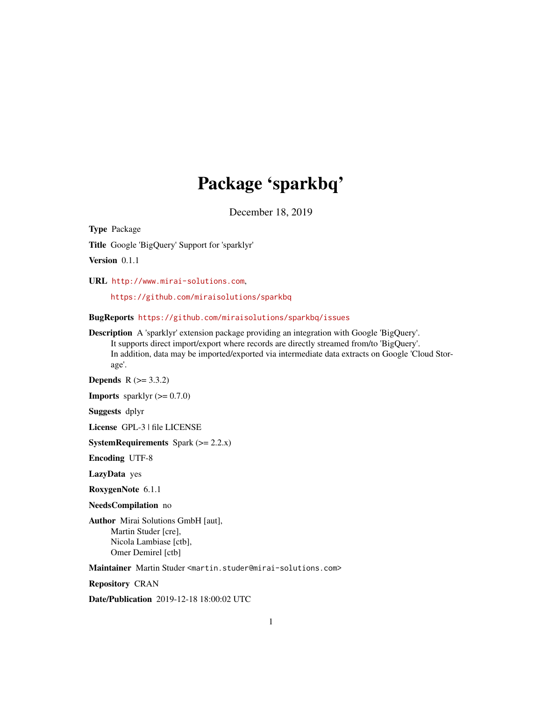# Package 'sparkbq'

December 18, 2019

<span id="page-0-0"></span>Type Package

Title Google 'BigQuery' Support for 'sparklyr'

Version 0.1.1

URL <http://www.mirai-solutions.com>,

<https://github.com/miraisolutions/sparkbq>

BugReports <https://github.com/miraisolutions/sparkbq/issues>

Description A 'sparklyr' extension package providing an integration with Google 'BigQuery'. It supports direct import/export where records are directly streamed from/to 'BigQuery'. In addition, data may be imported/exported via intermediate data extracts on Google 'Cloud Storage'.

**Depends** R  $(>= 3.3.2)$ 

**Imports** sparklyr  $(>= 0.7.0)$ 

Suggests dplyr

License GPL-3 | file LICENSE

**SystemRequirements** Spark  $(>= 2.2.x)$ 

Encoding UTF-8

LazyData yes

RoxygenNote 6.1.1

NeedsCompilation no

Author Mirai Solutions GmbH [aut], Martin Studer [cre], Nicola Lambiase [ctb], Omer Demirel [ctb]

Maintainer Martin Studer <martin.studer@mirai-solutions.com>

Repository CRAN

Date/Publication 2019-12-18 18:00:02 UTC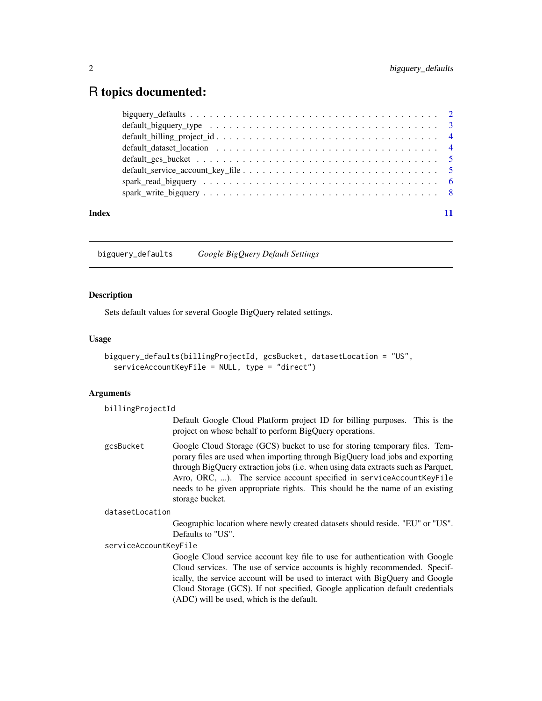## <span id="page-1-0"></span>R topics documented:

|       | $default_billing\_project_id 4$                                                                  |  |
|-------|--------------------------------------------------------------------------------------------------|--|
|       | default dataset location $\ldots \ldots \ldots \ldots \ldots \ldots \ldots \ldots \ldots \ldots$ |  |
|       |                                                                                                  |  |
|       |                                                                                                  |  |
|       |                                                                                                  |  |
|       |                                                                                                  |  |
| Index |                                                                                                  |  |

<span id="page-1-1"></span>bigquery\_defaults *Google BigQuery Default Settings*

#### Description

Sets default values for several Google BigQuery related settings.

#### Usage

```
bigquery_defaults(billingProjectId, gcsBucket, datasetLocation = "US",
 serviceAccountKeyFile = NULL, type = "direct")
```
#### Arguments

| billingProjectId      |                                                                                                                                                                                                                                                                                                                                                                                                                            |
|-----------------------|----------------------------------------------------------------------------------------------------------------------------------------------------------------------------------------------------------------------------------------------------------------------------------------------------------------------------------------------------------------------------------------------------------------------------|
|                       | Default Google Cloud Platform project ID for billing purposes. This is the<br>project on whose behalf to perform BigQuery operations.                                                                                                                                                                                                                                                                                      |
| gcsBucket             | Google Cloud Storage (GCS) bucket to use for storing temporary files. Tem-<br>porary files are used when importing through BigQuery load jobs and exporting<br>through BigQuery extraction jobs (i.e. when using data extracts such as Parquet,<br>Avro, ORC, ). The service account specified in serviceAccountKeyFile<br>needs to be given appropriate rights. This should be the name of an existing<br>storage bucket. |
| datasetLocation       |                                                                                                                                                                                                                                                                                                                                                                                                                            |
|                       | Geographic location where newly created datasets should reside. "EU" or "US".<br>Defaults to "US".                                                                                                                                                                                                                                                                                                                         |
| serviceAccountKeyFile |                                                                                                                                                                                                                                                                                                                                                                                                                            |
|                       | Google Cloud service account key file to use for authentication with Google<br>Cloud services. The use of service accounts is highly recommended. Specif-<br>ically, the service account will be used to interact with BigQuery and Google<br>Cloud Storage (GCS). If not specified, Google application default credentials<br>(ADC) will be used, which is the default.                                                   |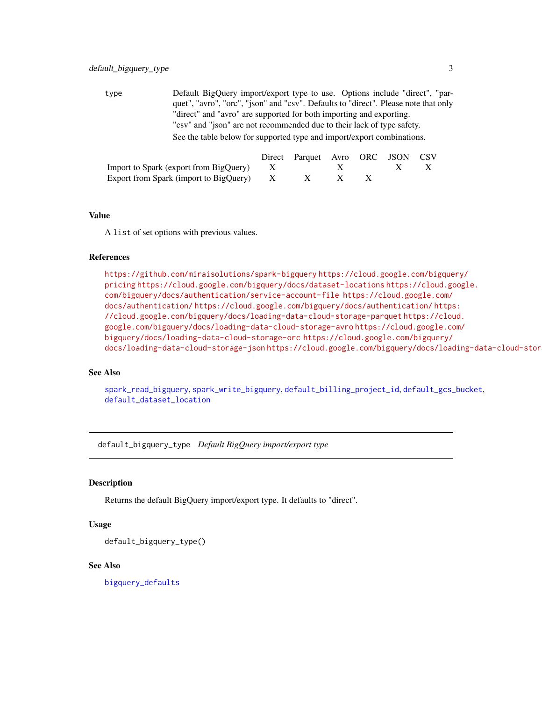<span id="page-2-0"></span>type Default BigQuery import/export type to use. Options include "direct", "parquet", "avro", "orc", "json" and "csv". Defaults to "direct". Please note that only "direct" and "avro" are supported for both importing and exporting. "csv" and "json" are not recommended due to their lack of type safety. See the table below for supported type and import/export combinations.

|                                            | Direct Parquet Avro ORC JSON CSV |  |                           |  |
|--------------------------------------------|----------------------------------|--|---------------------------|--|
| Import to Spark (export from BigQuery) $X$ |                                  |  | $\boldsymbol{\mathsf{X}}$ |  |
| Export from Spark (import to BigQuery) X   |                                  |  |                           |  |

#### Value

A list of set options with previous values.

#### References

<https://github.com/miraisolutions/spark-bigquery> [https://cloud.google.com/bigque](https://cloud.google.com/bigquery/pricing)ry/ [pricing](https://cloud.google.com/bigquery/pricing) <https://cloud.google.com/bigquery/docs/dataset-locations> [https://cloud.go](https://cloud.google.com/bigquery/docs/authentication/service-account-file)ogle. [com/bigquery/docs/authentication/service-account-file](https://cloud.google.com/bigquery/docs/authentication/service-account-file) [https://cloud.google.com/](https://cloud.google.com/docs/authentication/) [docs/authentication/](https://cloud.google.com/docs/authentication/) <https://cloud.google.com/bigquery/docs/authentication/> [https](https://cloud.google.com/bigquery/docs/loading-data-cloud-storage-parquet): [//cloud.google.com/bigquery/docs/loading-data-cloud-storage-parquet](https://cloud.google.com/bigquery/docs/loading-data-cloud-storage-parquet) [https://clou](https://cloud.google.com/bigquery/docs/loading-data-cloud-storage-avro)d. [google.com/bigquery/docs/loading-data-cloud-storage-avro](https://cloud.google.com/bigquery/docs/loading-data-cloud-storage-avro) [https://cloud.google.co](https://cloud.google.com/bigquery/docs/loading-data-cloud-storage-orc)m/ [bigquery/docs/loading-data-cloud-storage-orc](https://cloud.google.com/bigquery/docs/loading-data-cloud-storage-orc) [https://cloud.google.com/bigquery/](https://cloud.google.com/bigquery/docs/loading-data-cloud-storage-json) [docs/loading-data-cloud-storage-json](https://cloud.google.com/bigquery/docs/loading-data-cloud-storage-json) https://cloud.google.com/bigquery/docs/loading-data-cloud-stor

#### See Also

[spark\\_read\\_bigquery](#page-5-1), [spark\\_write\\_bigquery](#page-7-1), [default\\_billing\\_project\\_id](#page-3-1), [default\\_gcs\\_bucket](#page-4-1), [default\\_dataset\\_location](#page-3-2)

default\_bigquery\_type *Default BigQuery import/export type*

#### Description

Returns the default BigQuery import/export type. It defaults to "direct".

#### Usage

```
default_bigquery_type()
```
#### See Also

[bigquery\\_defaults](#page-1-1)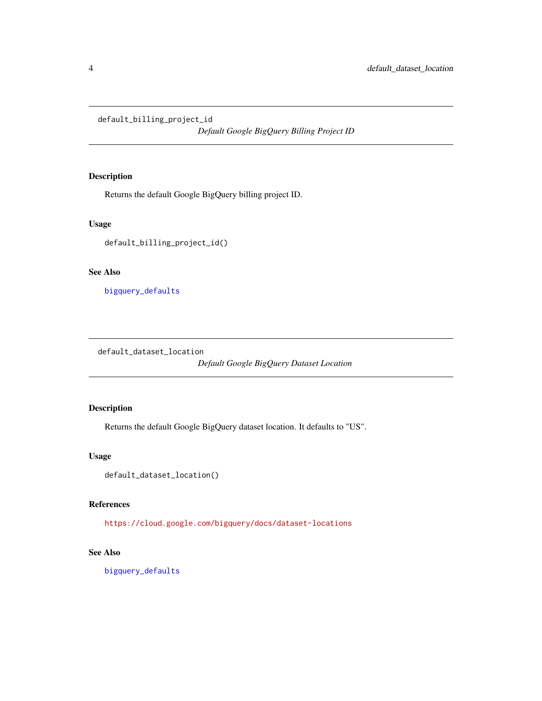<span id="page-3-1"></span><span id="page-3-0"></span>default\_billing\_project\_id

*Default Google BigQuery Billing Project ID*

#### Description

Returns the default Google BigQuery billing project ID.

#### Usage

default\_billing\_project\_id()

#### See Also

[bigquery\\_defaults](#page-1-1)

<span id="page-3-2"></span>default\_dataset\_location

*Default Google BigQuery Dataset Location*

#### Description

Returns the default Google BigQuery dataset location. It defaults to "US".

#### Usage

```
default_dataset_location()
```
#### References

<https://cloud.google.com/bigquery/docs/dataset-locations>

#### See Also

[bigquery\\_defaults](#page-1-1)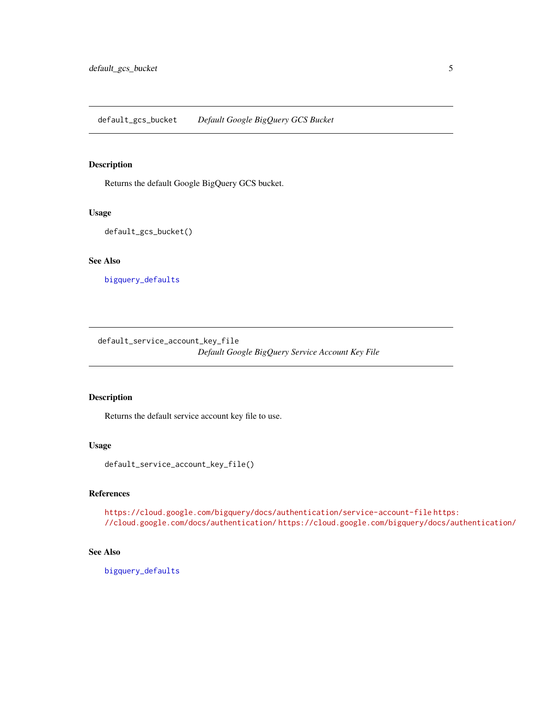<span id="page-4-1"></span><span id="page-4-0"></span>default\_gcs\_bucket *Default Google BigQuery GCS Bucket*

#### Description

Returns the default Google BigQuery GCS bucket.

#### Usage

default\_gcs\_bucket()

#### See Also

[bigquery\\_defaults](#page-1-1)

default\_service\_account\_key\_file *Default Google BigQuery Service Account Key File*

#### Description

Returns the default service account key file to use.

#### Usage

default\_service\_account\_key\_file()

#### References

<https://cloud.google.com/bigquery/docs/authentication/service-account-file> [https](https://cloud.google.com/docs/authentication/): [//cloud.google.com/docs/authentication/](https://cloud.google.com/docs/authentication/) <https://cloud.google.com/bigquery/docs/authentication/>

#### See Also

[bigquery\\_defaults](#page-1-1)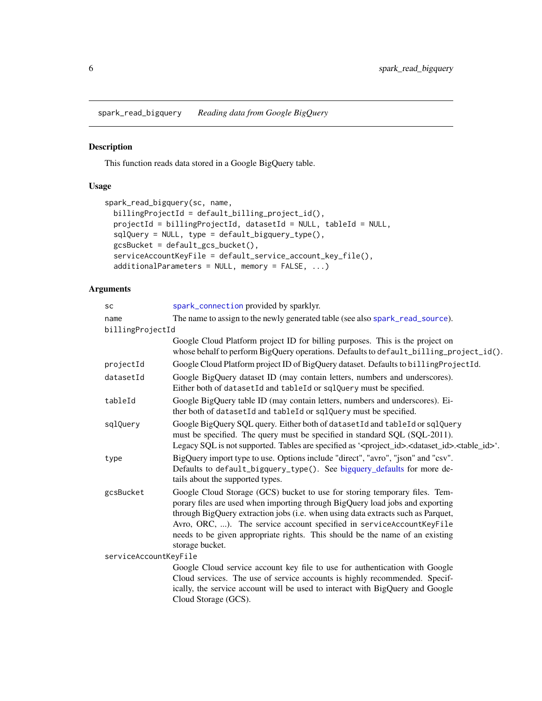<span id="page-5-1"></span><span id="page-5-0"></span>spark\_read\_bigquery *Reading data from Google BigQuery*

### Description

This function reads data stored in a Google BigQuery table.

#### Usage

```
spark_read_bigquery(sc, name,
 billingProjectId = default_billing_project_id(),
 projectId = billingProjectId, datasetId = NULL, tableId = NULL,
 sqlQuery = NULL, type = default_bigquery_type(),
 gcsBucket = default_gcs_bucket(),
 serviceAccountKeyFile = default_service_account_key_file(),
 additionalParameters = NULL, memory = FALSE, ...)
```
#### Arguments

| <b>SC</b>             | spark_connection provided by sparklyr.                                                                                                                                                                                                                                                                                                                                                                                     |
|-----------------------|----------------------------------------------------------------------------------------------------------------------------------------------------------------------------------------------------------------------------------------------------------------------------------------------------------------------------------------------------------------------------------------------------------------------------|
| name                  | The name to assign to the newly generated table (see also spark_read_source).                                                                                                                                                                                                                                                                                                                                              |
| billingProjectId      |                                                                                                                                                                                                                                                                                                                                                                                                                            |
|                       | Google Cloud Platform project ID for billing purposes. This is the project on<br>whose behalf to perform BigQuery operations. Defaults to default_billing_project_id().                                                                                                                                                                                                                                                    |
| projectId             | Google Cloud Platform project ID of BigQuery dataset. Defaults to billingProjectId.                                                                                                                                                                                                                                                                                                                                        |
| datasetId             | Google BigQuery dataset ID (may contain letters, numbers and underscores).<br>Either both of datasetId and tableId or sqlQuery must be specified.                                                                                                                                                                                                                                                                          |
| tableId               | Google BigQuery table ID (may contain letters, numbers and underscores). Ei-<br>ther both of datasetId and tableId or sqlQuery must be specified.                                                                                                                                                                                                                                                                          |
| sqlQuery              | Google BigQuery SQL query. Either both of datasetId and tableId or sqlQuery<br>must be specified. The query must be specified in standard SQL (SQL-2011).<br>Legacy SQL is not supported. Tables are specified as ' <project_id>.<dataset_id>.<table_id>'.</table_id></dataset_id></project_id>                                                                                                                            |
| type                  | BigQuery import type to use. Options include "direct", "avro", "json" and "csv".<br>Defaults to default_bigquery_type(). See bigquery_defaults for more de-<br>tails about the supported types.                                                                                                                                                                                                                            |
| gcsBucket             | Google Cloud Storage (GCS) bucket to use for storing temporary files. Tem-<br>porary files are used when importing through BigQuery load jobs and exporting<br>through BigQuery extraction jobs (i.e. when using data extracts such as Parquet,<br>Avro, ORC, ). The service account specified in serviceAccountKeyFile<br>needs to be given appropriate rights. This should be the name of an existing<br>storage bucket. |
| serviceAccountKeyFile |                                                                                                                                                                                                                                                                                                                                                                                                                            |
|                       | Google Cloud service account key file to use for authentication with Google<br>Cloud services. The use of service accounts is highly recommended. Specif-<br>ically, the service account will be used to interact with BigQuery and Google<br>Cloud Storage (GCS).                                                                                                                                                         |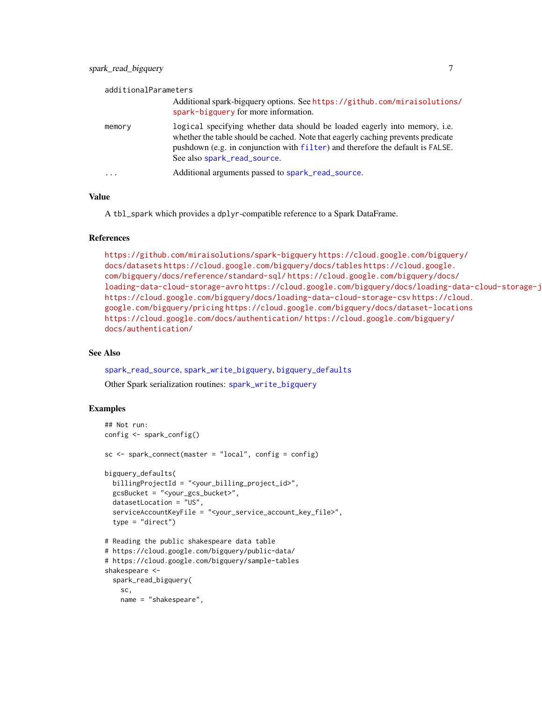<span id="page-6-0"></span>

| additionalParameters |                                                                                                                                                                                                                                                                                 |
|----------------------|---------------------------------------------------------------------------------------------------------------------------------------------------------------------------------------------------------------------------------------------------------------------------------|
|                      | Additional spark-bigquery options. See https://github.com/miraisolutions/<br>spark-bigquery for more information.                                                                                                                                                               |
| memory               | logical specifying whether data should be loaded eagerly into memory, i.e.<br>whether the table should be cached. Note that eagerly caching prevents predicate<br>pushdown (e.g. in conjunction with filter) and therefore the default is FALSE.<br>See also spark_read_source. |
| .                    | Additional arguments passed to spark_read_source.                                                                                                                                                                                                                               |

#### Value

A tbl\_spark which provides a dplyr-compatible reference to a Spark DataFrame.

#### References

```
https://github.com/miraisolutions/spark-bigquery https://cloud.google.com/bigquery/
docs/datasets https://cloud.google.com/bigquery/docs/tables https://cloud.google.
com/bigquery/docs/reference/standard-sql/ https://cloud.google.com/bigquery/docs/
loading-data-cloud-storage-avro https://cloud.google.com/bigquery/docs/loading-data-cloud-storage-j
https://cloud.google.com/bigquery/docs/loading-data-cloud-storage-csv https://cloud.
google.com/bigquery/pricing https://cloud.google.com/bigquery/docs/dataset-locations
https://cloud.google.com/docs/authentication/ https://cloud.google.com/bigquery/
docs/authentication/
```
#### See Also

[spark\\_read\\_source](#page-0-0), [spark\\_write\\_bigquery](#page-7-1), [bigquery\\_defaults](#page-1-1)

Other Spark serialization routines: [spark\\_write\\_bigquery](#page-7-1)

#### Examples

```
## Not run:
config <- spark_config()
sc \leftarrow spark_connect(master = "local", config = config)
bigquery_defaults(
  billingProjectId = "<your_billing_project_id>",
  gcsBucket = "<your_gcs_bucket>",
  datasetLocation = "US",
  serviceAccountKeyFile = "<your_service_account_key_file>",
  type = "direct")
# Reading the public shakespeare data table
# https://cloud.google.com/bigquery/public-data/
# https://cloud.google.com/bigquery/sample-tables
shakespeare <-
  spark_read_bigquery(
   sc,
    name = "shakespeare",
```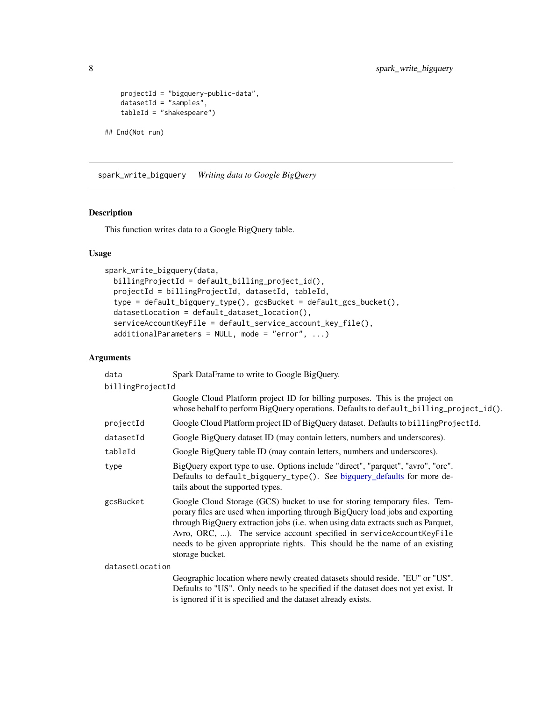```
projectId = "bigquery-public-data",
   datasetId = "samples",
   tableId = "shakespeare")
## End(Not run)
```
<span id="page-7-1"></span>spark\_write\_bigquery *Writing data to Google BigQuery*

#### Description

This function writes data to a Google BigQuery table.

#### Usage

```
spark_write_bigquery(data,
 billingProjectId = default_billing_project_id(),
 projectId = billingProjectId, datasetId, tableId,
  type = default_bigquery_type(), gcsBucket = default_gcs_bucket(),
  datasetLocation = default_dataset_location(),
  serviceAccountKeyFile = default_service_account_key_file(),
  additionalParameters = NULL, mode = "error", ...)
```
#### Arguments

| data             | Spark DataFrame to write to Google BigQuery.                                                                                                                                                                                                                                                                                                                                                                               |  |
|------------------|----------------------------------------------------------------------------------------------------------------------------------------------------------------------------------------------------------------------------------------------------------------------------------------------------------------------------------------------------------------------------------------------------------------------------|--|
| billingProjectId |                                                                                                                                                                                                                                                                                                                                                                                                                            |  |
|                  | Google Cloud Platform project ID for billing purposes. This is the project on<br>whose behalf to perform BigQuery operations. Defaults to default_billing_project_id().                                                                                                                                                                                                                                                    |  |
| projectId        | Google Cloud Platform project ID of BigQuery dataset. Defaults to billingProjectId.                                                                                                                                                                                                                                                                                                                                        |  |
| datasetId        | Google BigQuery dataset ID (may contain letters, numbers and underscores).                                                                                                                                                                                                                                                                                                                                                 |  |
| tableId          | Google BigQuery table ID (may contain letters, numbers and underscores).                                                                                                                                                                                                                                                                                                                                                   |  |
| type             | BigQuery export type to use. Options include "direct", "parquet", "avro", "orc".<br>Defaults to default_bigquery_type(). See bigquery_defaults for more de-<br>tails about the supported types.                                                                                                                                                                                                                            |  |
| gcsBucket        | Google Cloud Storage (GCS) bucket to use for storing temporary files. Tem-<br>porary files are used when importing through BigQuery load jobs and exporting<br>through BigQuery extraction jobs (i.e. when using data extracts such as Parquet,<br>Avro, ORC, ). The service account specified in serviceAccountKeyFile<br>needs to be given appropriate rights. This should be the name of an existing<br>storage bucket. |  |
| datasetLocation  |                                                                                                                                                                                                                                                                                                                                                                                                                            |  |
|                  | Geographic location where newly created datasets should reside. "EU" or "US".<br>Defaults to "US". Only needs to be specified if the dataset does not yet exist. It<br>is ignored if it is specified and the dataset already exists.                                                                                                                                                                                       |  |

<span id="page-7-0"></span>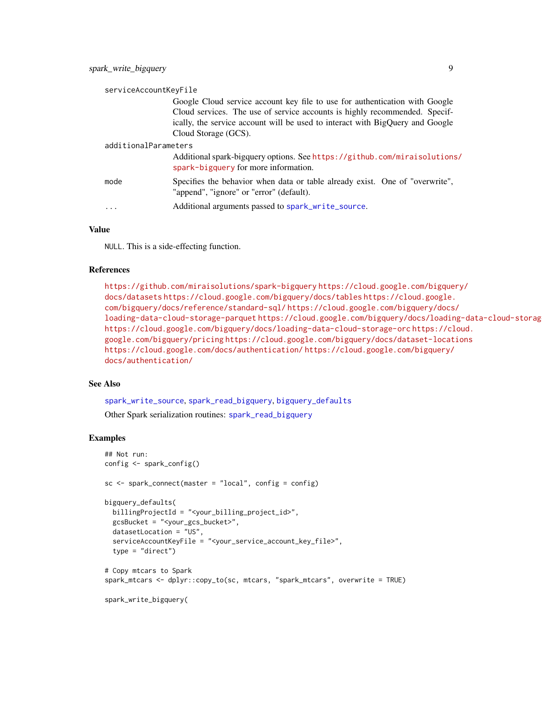<span id="page-8-0"></span>

| serviceAccountKeyFile |                                                                                                                                                                                                                                                                    |
|-----------------------|--------------------------------------------------------------------------------------------------------------------------------------------------------------------------------------------------------------------------------------------------------------------|
|                       | Google Cloud service account key file to use for authentication with Google<br>Cloud services. The use of service accounts is highly recommended. Specif-<br>ically, the service account will be used to interact with BigQuery and Google<br>Cloud Storage (GCS). |
| additionalParameters  |                                                                                                                                                                                                                                                                    |
|                       | Additional spark-bigquery options. See https://github.com/miraisolutions/<br>spark-bigquery for more information.                                                                                                                                                  |
| mode                  | Specifies the behavior when data or table already exist. One of "overwrite",<br>"append", "ignore" or "error" (default).                                                                                                                                           |
| .                     | Additional arguments passed to spark_write_source.                                                                                                                                                                                                                 |

#### Value

NULL. This is a side-effecting function.

#### References

<https://github.com/miraisolutions/spark-bigquery> [https://cloud.google.com/bigque](https://cloud.google.com/bigquery/docs/datasets)ry/ [docs/datasets](https://cloud.google.com/bigquery/docs/datasets) <https://cloud.google.com/bigquery/docs/tables> [https://cloud.google.](https://cloud.google.com/bigquery/docs/reference/standard-sql/) [com/bigquery/docs/reference/standard-sql/](https://cloud.google.com/bigquery/docs/reference/standard-sql/) [https://cloud.google.com/bigquery/docs](https://cloud.google.com/bigquery/docs/loading-data-cloud-storage-parquet)/ [loading-data-cloud-storage-parquet](https://cloud.google.com/bigquery/docs/loading-data-cloud-storage-parquet) https://cloud.google.com/bigquery/docs/loading-data-cloud-storag <https://cloud.google.com/bigquery/docs/loading-data-cloud-storage-orc> [https://cl](https://cloud.google.com/bigquery/pricing)oud. [google.com/bigquery/pricing](https://cloud.google.com/bigquery/pricing) <https://cloud.google.com/bigquery/docs/dataset-locations> <https://cloud.google.com/docs/authentication/> [https://cloud.google.com/bigquery/](https://cloud.google.com/bigquery/docs/authentication/) [docs/authentication/](https://cloud.google.com/bigquery/docs/authentication/)

#### See Also

[spark\\_write\\_source](#page-0-0), [spark\\_read\\_bigquery](#page-5-1), [bigquery\\_defaults](#page-1-1) Other Spark serialization routines: [spark\\_read\\_bigquery](#page-5-1)

#### Examples

```
## Not run:
config <- spark_config()
sc \le spark_connect(master = "local", config = config)
bigquery_defaults(
  billingProjectId = "<your_billing_project_id>",
  gcsBucket = "<your_gcs_bucket>",
  datasetLocation = "US",
  serviceAccountKeyFile = "<your_service_account_key_file>",
  type = "direct")
# Copy mtcars to Spark
spark_mtcars <- dplyr::copy_to(sc, mtcars, "spark_mtcars", overwrite = TRUE)
spark_write_bigquery(
```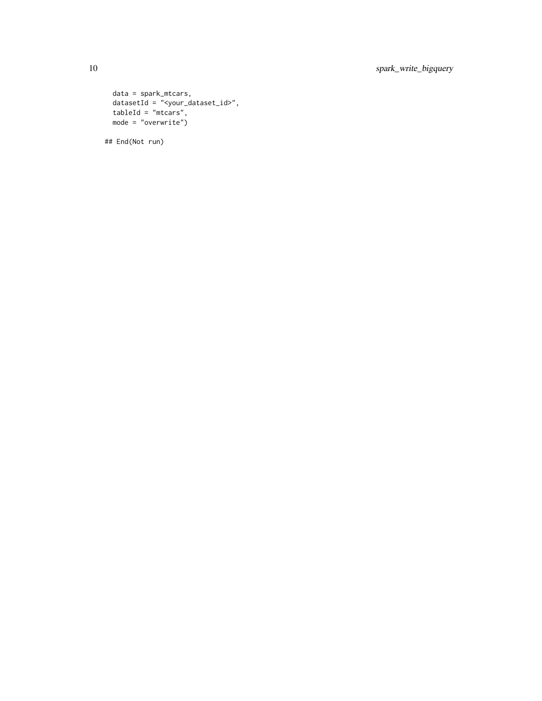```
data = spark_mtcars,
datasetId = \sqrt[m]{year_dataset_id},
tableId = "mtcars",
mode = "overwrite")
```
## End(Not run)